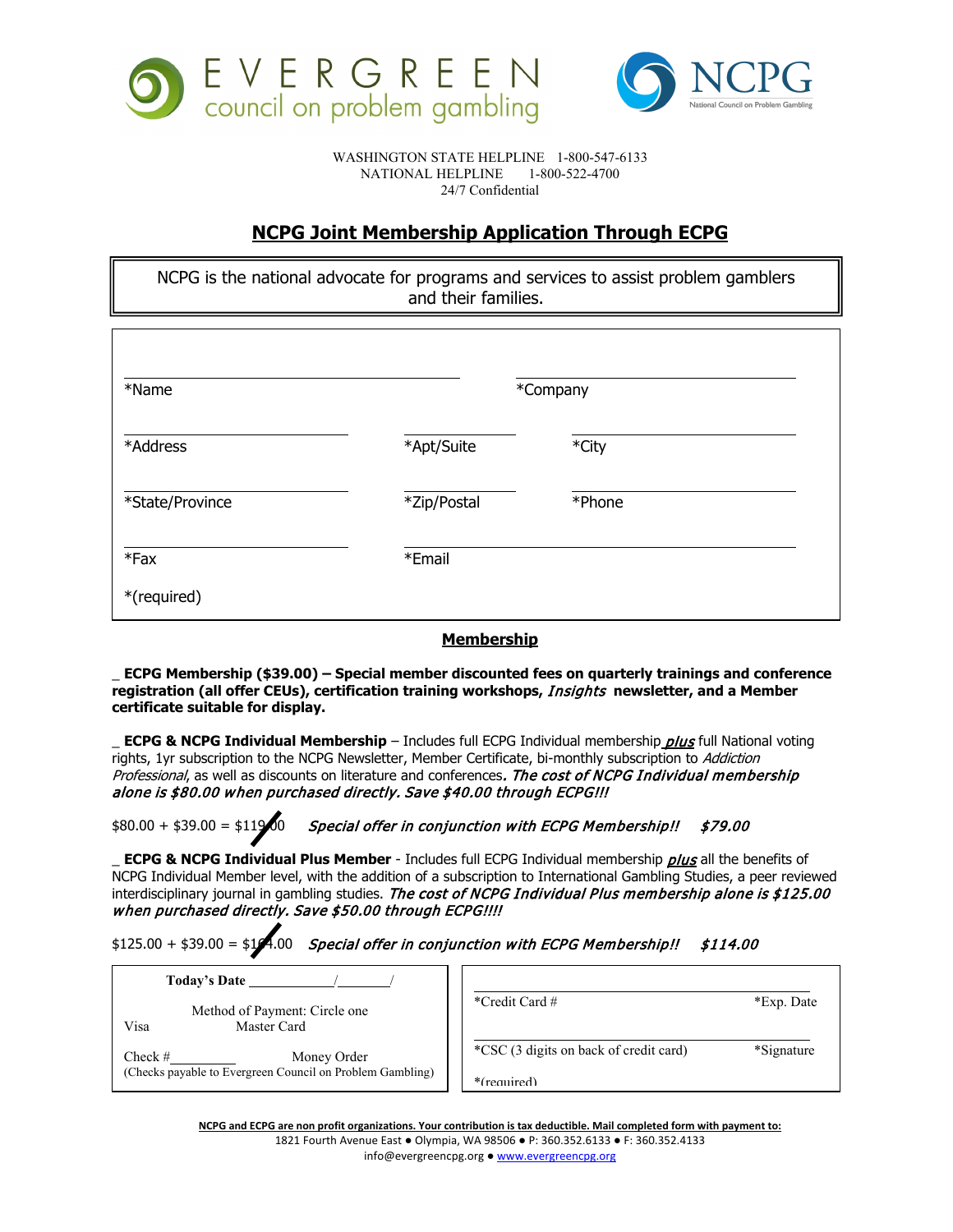



WASHINGTON STATE HELPLINE 1-800-547-6133<br>NATIONAL HELPLINE 1-800-522-4700 NATIONAL HELPLINE 24/7 Confidential

## **NCPG Joint Membership Application Through ECPG**

NCPG is the national advocate for programs and services to assist problem gamblers and their families.

| *Name                 | *Company    |        |  |
|-----------------------|-------------|--------|--|
| *Address              | *Apt/Suite  | *City  |  |
| *State/Province       | *Zip/Postal | *Phone |  |
| $*Fax$<br>*(required) | *Email      |        |  |

## **Membership**

\_ **ECPG Membership (\$39.00) – Special member discounted fees on quarterly trainings and conference registration (all offer CEUs), certification training workshops,** Insights **newsletter, and a Member certificate suitable for display.**

\_ **ECPG & NCPG Individual Membership** – Includes full ECPG Individual membership plus full National voting rights, 1yr subscription to the NCPG Newsletter, Member Certificate, bi-monthly subscription to Addiction Professional, as well as discounts on literature and conferences. The cost of NCPG Individual membership alone is \$80.00 when purchased directly. Save \$40.00 through ECPG!!!

 $$80.00 + $39.00 = $119.00$  Special offer in conjunction with ECPG Membership!!  $$79.00$ 

**ECPG & NCPG Individual Plus Member** - Includes full ECPG Individual membership *plus* all the benefits of NCPG Individual Member level, with the addition of a subscription to International Gambling Studies, a peer reviewed interdisciplinary journal in gambling studies. The cost of NCPG Individual Plus membership alone is \$125.00 when purchased directly. Save \$50.00 through ECPG!!!!

 $$125.00 + $39.00 = $14.00$  Special offer in conjunction with ECPG Membership!!  $$114.00$ 

| Today's Date                                                                          |                                        |            |
|---------------------------------------------------------------------------------------|----------------------------------------|------------|
| Method of Payment: Circle one<br>Visa<br>Master Card                                  | *Credit Card #                         | *Exp. Date |
| Check $#$<br>Money Order<br>(Checks payable to Evergreen Council on Problem Gambling) | *CSC (3 digits on back of credit card) | *Signature |
|                                                                                       | $*(remainder)$                         |            |

**NCPG and ECPG are non profit organizations. Your contribution is tax deductible. Mail completed form with payment to:**